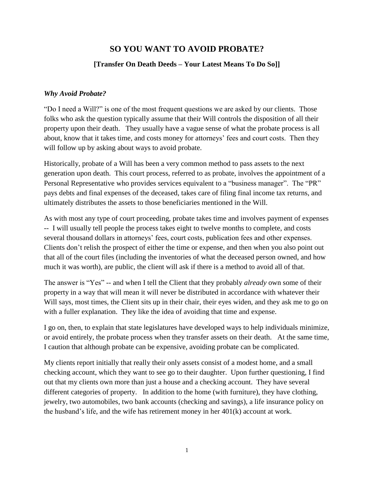# **SO YOU WANT TO AVOID PROBATE?**

#### **[Transfer On Death Deeds – Your Latest Means To Do So]]**

#### *Why Avoid Probate?*

"Do I need a Will?" is one of the most frequent questions we are asked by our clients. Those folks who ask the question typically assume that their Will controls the disposition of all their property upon their death. They usually have a vague sense of what the probate process is all about, know that it takes time, and costs money for attorneys' fees and court costs. Then they will follow up by asking about ways to avoid probate.

Historically, probate of a Will has been a very common method to pass assets to the next generation upon death. This court process, referred to as probate, involves the appointment of a Personal Representative who provides services equivalent to a "business manager". The "PR" pays debts and final expenses of the deceased, takes care of filing final income tax returns, and ultimately distributes the assets to those beneficiaries mentioned in the Will.

As with most any type of court proceeding, probate takes time and involves payment of expenses -- I will usually tell people the process takes eight to twelve months to complete, and costs several thousand dollars in attorneys' fees, court costs, publication fees and other expenses. Clients don't relish the prospect of either the time or expense, and then when you also point out that all of the court files (including the inventories of what the deceased person owned, and how much it was worth), are public, the client will ask if there is a method to avoid all of that.

The answer is "Yes" -- and when I tell the Client that they probably *already* own some of their property in a way that will mean it will never be distributed in accordance with whatever their Will says, most times, the Client sits up in their chair, their eyes widen, and they ask me to go on with a fuller explanation. They like the idea of avoiding that time and expense.

I go on, then, to explain that state legislatures have developed ways to help individuals minimize, or avoid entirely, the probate process when they transfer assets on their death. At the same time, I caution that although probate can be expensive, avoiding probate can be complicated.

My clients report initially that really their only assets consist of a modest home, and a small checking account, which they want to see go to their daughter. Upon further questioning, I find out that my clients own more than just a house and a checking account. They have several different categories of property. In addition to the home (with furniture), they have clothing, jewelry, two automobiles, two bank accounts (checking and savings), a life insurance policy on the husband's life, and the wife has retirement money in her 401(k) account at work.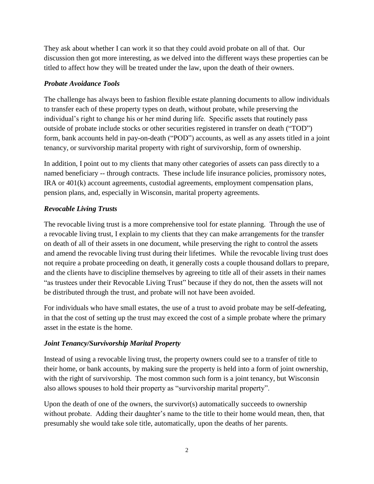They ask about whether I can work it so that they could avoid probate on all of that. Our discussion then got more interesting, as we delved into the different ways these properties can be titled to affect how they will be treated under the law, upon the death of their owners.

#### *Probate Avoidance Tools*

The challenge has always been to fashion flexible estate planning documents to allow individuals to transfer each of these property types on death, without probate, while preserving the individual's right to change his or her mind during life. Specific assets that routinely pass outside of probate include stocks or other securities registered in transfer on death ("TOD") form, bank accounts held in pay-on-death ("POD") accounts, as well as any assets titled in a joint tenancy, or survivorship marital property with right of survivorship, form of ownership.

In addition, I point out to my clients that many other categories of assets can pass directly to a named beneficiary -- through contracts. These include life insurance policies, promissory notes, IRA or 401(k) account agreements, custodial agreements, employment compensation plans, pension plans, and, especially in Wisconsin, marital property agreements.

## *Revocable Living Trusts*

The revocable living trust is a more comprehensive tool for estate planning. Through the use of a revocable living trust, I explain to my clients that they can make arrangements for the transfer on death of all of their assets in one document, while preserving the right to control the assets and amend the revocable living trust during their lifetimes. While the revocable living trust does not require a probate proceeding on death, it generally costs a couple thousand dollars to prepare, and the clients have to discipline themselves by agreeing to title all of their assets in their names "as trustees under their Revocable Living Trust" because if they do not, then the assets will not be distributed through the trust, and probate will not have been avoided.

For individuals who have small estates, the use of a trust to avoid probate may be self-defeating, in that the cost of setting up the trust may exceed the cost of a simple probate where the primary asset in the estate is the home.

## *Joint Tenancy/Survivorship Marital Property*

Instead of using a revocable living trust, the property owners could see to a transfer of title to their home, or bank accounts, by making sure the property is held into a form of joint ownership, with the right of survivorship. The most common such form is a joint tenancy, but Wisconsin also allows spouses to hold their property as "survivorship marital property".

Upon the death of one of the owners, the survivor(s) automatically succeeds to ownership without probate. Adding their daughter's name to the title to their home would mean, then, that presumably she would take sole title, automatically, upon the deaths of her parents.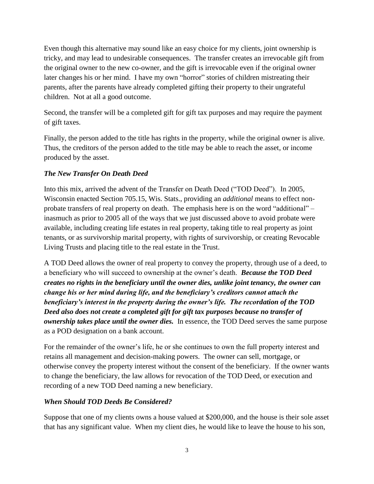Even though this alternative may sound like an easy choice for my clients, joint ownership is tricky, and may lead to undesirable consequences. The transfer creates an irrevocable gift from the original owner to the new co-owner, and the gift is irrevocable even if the original owner later changes his or her mind. I have my own "horror" stories of children mistreating their parents, after the parents have already completed gifting their property to their ungrateful children. Not at all a good outcome.

Second, the transfer will be a completed gift for gift tax purposes and may require the payment of gift taxes.

Finally, the person added to the title has rights in the property, while the original owner is alive. Thus, the creditors of the person added to the title may be able to reach the asset, or income produced by the asset.

### *The New Transfer On Death Deed*

Into this mix, arrived the advent of the Transfer on Death Deed ("TOD Deed"). In 2005, Wisconsin enacted Section 705.15, Wis. Stats., providing an *additional* means to effect nonprobate transfers of real property on death. The emphasis here is on the word "additional" – inasmuch as prior to 2005 all of the ways that we just discussed above to avoid probate were available, including creating life estates in real property, taking title to real property as joint tenants, or as survivorship marital property, with rights of survivorship, or creating Revocable Living Trusts and placing title to the real estate in the Trust.

A TOD Deed allows the owner of real property to convey the property, through use of a deed, to a beneficiary who will succeed to ownership at the owner's death. *Because the TOD Deed creates no rights in the beneficiary until the owner dies, unlike joint tenancy, the owner can change his or her mind during life, and the beneficiary's creditors cannot attach the beneficiary's interest in the property during the owner's life. The recordation of the TOD Deed also does not create a completed gift for gift tax purposes because no transfer of ownership takes place until the owner dies.* In essence, the TOD Deed serves the same purpose as a POD designation on a bank account.

For the remainder of the owner's life, he or she continues to own the full property interest and retains all management and decision-making powers. The owner can sell, mortgage, or otherwise convey the property interest without the consent of the beneficiary. If the owner wants to change the beneficiary, the law allows for revocation of the TOD Deed, or execution and recording of a new TOD Deed naming a new beneficiary.

## *When Should TOD Deeds Be Considered?*

Suppose that one of my clients owns a house valued at \$200,000, and the house is their sole asset that has any significant value. When my client dies, he would like to leave the house to his son,